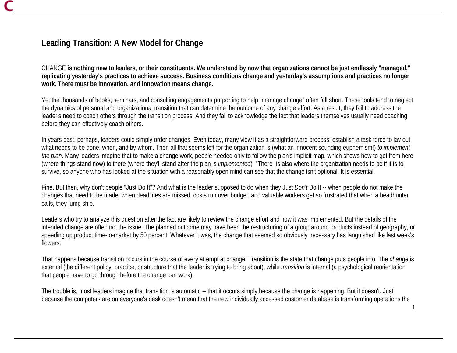# **Leading Transition: A New Model for Change**

CHANGE **is nothing new to leaders, or their constituents. We understand by now that organizations cannot be just endlessly "managed," replicating yesterday's practices to achieve success. Business conditions change and yesterday's assumptions and practices no longer work. There must be innovation, and innovation means change.** 

Yet the thousands of books, seminars, and consulting engagements purporting to help "manage change" often fall short. These tools tend to neglect the dynamics of personal and organizational transition that can determine the outcome of any change effort. As a result, they fail to address the leader's need to coach others through the transition process. And they fail to acknowledge the fact that leaders themselves usually need coaching before they can effectively coach others.

In years past, perhaps, leaders could simply order changes. Even today, many view it as a straightforward process: establish a task force to lay out what needs to be done, when, and by whom. Then all that seems left for the organization is (what an innocent sounding euphemism!) *to implement the plan*. Many leaders imagine that to make a change work, people needed only to follow the plan's implicit map, which shows how to get from here (where things stand now) to there (where they'll stand after the plan is *implemented*). "There" is also where the organization needs to be if it is to survive, so anyone who has looked at the situation with a reasonably open mind can see that the change isn't optional. It is essential.

Fine. But then, why don't people "Just Do It"? And what is the leader supposed to do when they Just *Don't* Do It -- when people do not make the changes that need to be made, when deadlines are missed, costs run over budget, and valuable workers get so frustrated that when a headhunter calls, they jump ship.

Leaders who try to analyze this question after the fact are likely to review the change effort and how it was implemented. But the details of the intended change are often not the issue. The planned outcome may have been the restructuring of a group around products instead of geography, or speeding up product time-to-market by 50 percent. Whatever it was, the change that seemed so obviously necessary has languished like last week's flowers.

That happens because transition occurs in the course of every attempt at change. Transition is the state that change puts people into. The *change* is external (the different policy, practice, or structure that the leader is trying to bring about), while *transition* is internal (a psychological reorientation that people have to go through before the change can work).

The trouble is, most leaders imagine that transition is automatic -- that it occurs simply because the change is happening. But it doesn't. Just because the computers are on everyone's desk doesn't mean that the new individually accessed customer database is transforming operations the

1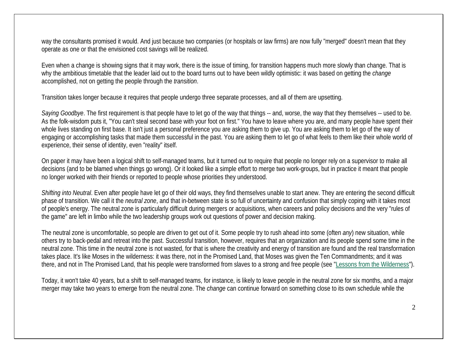way the consultants promised it would. And just because two companies (or hospitals or law firms) are now fully "merged" doesn't mean that they operate as one or that the envisioned cost savings will be realized.

Even when a change is showing signs that it may work, there is the issue of timing, for transition happens much more slowly than change. That is why the ambitious timetable that the leader laid out to the board turns out to have been wildly optimistic: it was based on getting the *change* accomplished, not on getting the people through the *transition*.

Transition takes longer because it requires that people undergo three separate processes, and all of them are upsetting.

*Saying Goodbye*. The first requirement is that people have to let go of the way that things -- and, worse, the way that they themselves -- used to be. As the folk-wisdom puts it, "You can't steal second base with your foot on first." You have to leave where you are, and many people have spent their whole lives standing on first base. It isn't just a personal preference you are asking them to give up. You are asking them to let go of the way of engaging or accomplishing tasks that made them successful in the past. You are asking them to let go of what feels to them like their whole world of experience, their sense of identity, even "reality" itself.

On paper it may have been a logical shift to self-managed teams, but it turned out to require that people no longer rely on a supervisor to make all decisions (and to be blamed when things go wrong). Or it looked like a simple effort to merge two work-groups, but in practice it meant that people no longer worked with their friends or reported to people whose priorities they understood.

*Shifting into Neutral*. Even after people have let go of their old ways, they find themselves unable to start anew. They are entering the second difficult phase of transition. We call it the *neutral zone*, and that in-between state is so full of uncertainty and confusion that simply coping with it takes most of people's energy. The neutral zone is particularly difficult during mergers or acquisitions, when careers and policy decisions and the very "rules of the game" are left in limbo while the two leadership groups work out questions of power and decision making.

The neutral zone is uncomfortable, so people are driven to get out of it. Some people try to rush ahead into some (often *any*) new situation, while others try to back-pedal and retreat into the past. Successful transition, however, requires that an organization and its people spend some time in the neutral zone. This time in the neutral zone is not wasted, for that is where the creativity and energy of transition are found and the real transformation takes place. It's like Moses in the wilderness: it was there, not in the Promised Land, that Moses was given the Ten Commandments; and it was there, and not in The Promised Land, that his people were transformed from slaves to a strong and free people (see "Lessons from the Wilderness").

Today, it won't take 40 years, but a shift to self-managed teams, for instance, is likely to leave people in the neutral zone for six months, and a major merger may take two years to emerge from the neutral zone. The *change* can continue forward on something close to its own schedule while the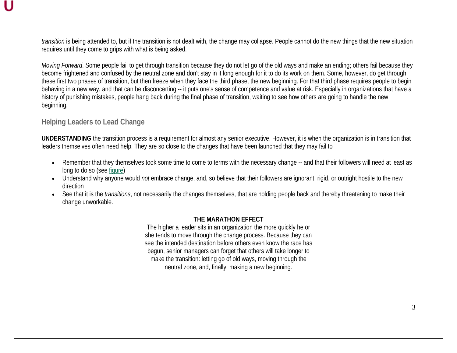*transition* is being attended to, but if the transition is not dealt with, the change may collapse. People cannot do the new things that the new situation requires until they come to grips with what is being asked.

*Moving Forward*. Some people fail to get through transition because they do not let go of the old ways and make an ending; others fail because they become frightened and confused by the neutral zone and don't stay in it long enough for it to do its work on them. Some, however, do get through these first two phases of transition, but then freeze when they face the third phase, the new beginning. For that third phase requires people to begin behaving in a new way, and that can be disconcerting -- it puts one's sense of competence and value at risk. Especially in organizations that have a history of punishing mistakes, people hang back during the final phase of transition, waiting to see how others are going to handle the new beginning.

### **Helping Leaders to Lead Change**

**UNDERSTANDING** the transition process is a requirement for almost any senior executive. However, it is when the organization is in transition that leaders themselves often need help. They are so close to the changes that have been launched that they may fail to

- Remember that they themselves took some time to come to terms with the necessary change -- and that their followers will need at least as long to do so (see figure)
- Understand why anyone would *not* embrace change, and, so believe that their followers are ignorant, rigid, or outright hostile to the new direction
- See that it is the *transitions*, not necessarily the changes themselves, that are holding people back and thereby threatening to make their change unworkable.

#### **THE MARATHON EFFECT**

The higher a leader sits in an organization the more quickly he or she tends to move through the change process. Because they can see the intended destination before others even know the race has begun, senior managers can forget that others will take longer to make the transition: letting go of old ways, moving through the neutral zone, and, finally, making a new beginning.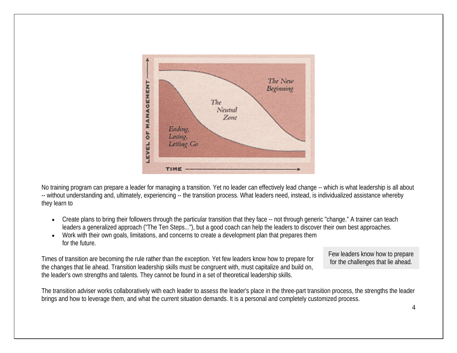

No training program can prepare a leader for managing a transition. Yet no leader can effectively lead change -- which is what leadership is all about -- without understanding and, ultimately, experiencing -- the transition process. What leaders need, instead, is individualized assistance whereby they learn to

- Create plans to bring their followers through the particular transition that they face -- not through generic "change." A trainer can teach leaders a generalized approach ("The Ten Steps..."), but a good coach can help the leaders to discover their own best approaches.
- Work with their own goals, limitations, and concerns to create a development plan that prepares them for the future.

Times of transition are becoming the rule rather than the exception. Yet few leaders know how to prepare for the changes that lie ahead. Transition leadership skills must be congruent with, must capitalize and build on, the leader's own strengths and talents. They cannot be found in a set of theoretical leadership skills.

Few leaders know how to prepare for the challenges that lie ahead.

The transition adviser works collaboratively with each leader to assess the leader's place in the three-part transition process, the strengths the leader brings and how to leverage them, and what the current situation demands. It is a personal and completely customized process.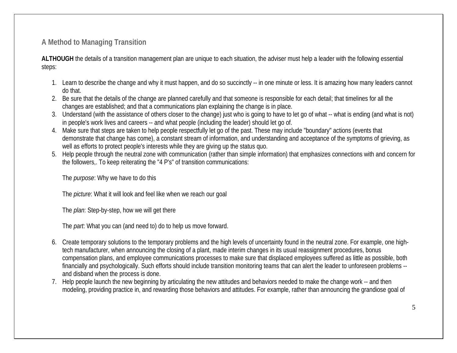**A Method to Managing Transition** 

**ALTHOUGH** the details of a transition management plan are unique to each situation, the adviser must help a leader with the following essential steps:

- 1. Learn to describe the change and why it must happen, and do so succinctly -- in one minute or less. It is amazing how many leaders cannot do that.
- 2. Be sure that the details of the change are planned carefully and that someone is responsible for each detail; that timelines for all the changes are established; and that a communications plan explaining the change is in place.
- 3. Understand (with the assistance of others closer to the change) just who is going to have to let go of what -- what is ending (and what is not) in people's work lives and careers -- and what people (including the leader) should let go of.
- 4. Make sure that steps are taken to help people respectfully let go of the past. These may include "boundary" actions (events that demonstrate that change has come), a constant stream of information, and understanding and acceptance of the symptoms of grieving, as well as efforts to protect people's interests while they are giving up the status quo.
- 5. Help people through the neutral zone with communication (rather than simple information) that emphasizes connections with and concern for the followers,. To keep reiterating the "4 P's" of transition communications:

The *purpose*: Why we have to do this

The *picture*: What it will look and feel like when we reach our goal

The *plan*: Step-by-step, how we will get there

The *part*: What you can (and need to) do to help us move forward.

- 6. Create temporary solutions to the temporary problems and the high levels of uncertainty found in the neutral zone. For example, one hightech manufacturer, when announcing the closing of a plant, made interim changes in its usual reassignment procedures, bonus compensation plans, and employee communications processes to make sure that displaced employees suffered as little as possible, both financially and psychologically. Such efforts should include transition monitoring teams that can alert the leader to unforeseen problems - and disband when the process is done.
- 7. Help people launch the new beginning by articulating the new attitudes and behaviors needed to make the change work -- and then modeling, providing practice in, and rewarding those behaviors and attitudes. For example, rather than announcing the grandiose goal of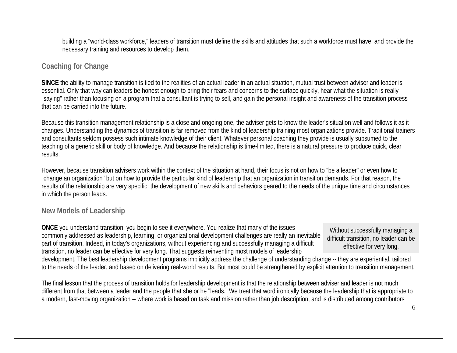building a "world-class workforce," leaders of transition must define the skills and attitudes that such a workforce must have, and provide the necessary training and resources to develop them.

## **Coaching for Change**

**SINCE** the ability to manage transition is tied to the realities of an actual leader in an actual situation, mutual trust between adviser and leader is essential. Only that way can leaders be honest enough to bring their fears and concerns to the surface quickly, hear what the situation is really "saying" rather than focusing on a program that a consultant is trying to sell, and gain the personal insight and awareness of the transition process that can be carried into the future.

Because this transition management relationship is a close and ongoing one, the adviser gets to know the leader's situation well and follows it as it changes. Understanding the dynamics of transition is far removed from the kind of leadership training most organizations provide. Traditional trainers and consultants seldom possess such intimate knowledge of their client. Whatever personal coaching they provide is usually subsumed to the teaching of a generic skill or body of knowledge. And because the relationship is time-limited, there is a natural pressure to produce quick, clear results.

However, because transition advisers work within the context of the situation at hand, their focus is not on how to "be a leader" or even how to "change an organization" but on how to provide the particular kind of leadership that an organization in transition demands. For that reason, the results of the relationship are very specific: the development of new skills and behaviors geared to the needs of the unique time and circumstances in which the person leads.

## **New Models of Leadership**

**ONCE** you understand transition, you begin to see it everywhere. You realize that many of the issues commonly addressed as leadership, learning, or organizational development challenges are really an inevitable part of transition. Indeed, in today's organizations, without experiencing and successfully managing a difficult transition, no leader can be effective for very long. That suggests reinventing most models of leadership

Without successfully managing a difficult transition, no leader can be effective for very long.

development. The best leadership development programs implicitly address the challenge of understanding change -- they are experiential, tailored to the needs of the leader, and based on delivering real-world results. But most could be strengthened by explicit attention to transition management.

The final lesson that the process of transition holds for leadership development is that the relationship between adviser and leader is not much different from that between a leader and the people that she or he "leads." We treat that word ironically because the leadership that is appropriate to a modern, fast-moving organization -- where work is based on task and mission rather than job description, and is distributed among contributors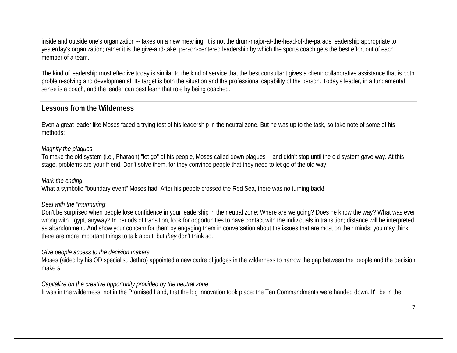inside and outside one's organization -- takes on a new meaning. It is not the drum-major-at-the-head-of-the-parade leadership appropriate to yesterday's organization; rather it is the give-and-take, person-centered leadership by which the sports coach gets the best effort out of each member of a team.

The kind of leadership most effective today is similar to the kind of service that the best consultant gives a client: collaborative assistance that is both problem-solving and developmental. Its target is both the situation and the professional capability of the person. Today's leader, in a fundamental sense is a coach, and the leader can best learn that role by being coached.

# **Lessons from the Wilderness**

Even a great leader like Moses faced a trying test of his leadership in the neutral zone. But he was up to the task, so take note of some of his methods:

#### *Magnify the plagues*

To make the old system (i.e., Pharaoh) "let go" of his people, Moses called down plagues -- and didn't stop until the old system gave way. At this stage, problems are your friend. Don't solve them, for they convince people that they need to let go of the old way.

#### *Mark the ending*

What a symbolic "boundary event" Moses had! After his people crossed the Red Sea, there was no turning back!

#### *Deal with the "murmuring"*

Don't be surprised when people lose confidence in your leadership in the neutral zone: Where are we going? Does he know the way? What was ever wrong with Egypt, anyway? In periods of transition, look for opportunities to have contact with the individuals in transition; distance will be interpreted as abandonment. And show your concern for them by engaging them in conversation about the issues that are most on their minds; you may think there are more important things to talk about, but *they* don't think so.

### *Give people access to the decision makers*

Moses (aided by his OD specialist, Jethro) appointed a new cadre of judges in the wilderness to narrow the gap between the people and the decision makers.

*Capitalize on the creative opportunity provided by the neutral zone* It was in the wilderness, not in the Promised Land, that the big innovation took place: the Ten Commandments were handed down. It'll be in the